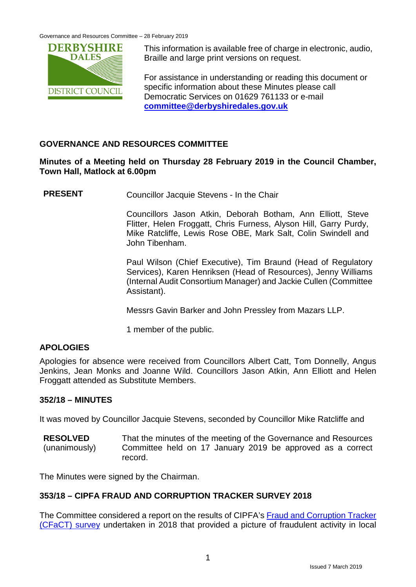Governance and Resources Committee – 28 February 2019



This information is available free of charge in electronic, audio, Braille and large print versions on request.

For assistance in understanding or reading this document or specific information about these Minutes please call Democratic Services on 01629 761133 or e-mail **[committee@derbyshiredales.gov.uk](mailto:committee@derbyshiredales.gov.uk)**

# **GOVERNANCE AND RESOURCES COMMITTEE**

## **Minutes of a Meeting held on Thursday 28 February 2019 in the Council Chamber, Town Hall, Matlock at 6.00pm**

**PRESENT** Councillor Jacquie Stevens - In the Chair

Councillors Jason Atkin, Deborah Botham, Ann Elliott, Steve Flitter, Helen Froggatt, Chris Furness, Alyson Hill, Garry Purdy, Mike Ratcliffe, Lewis Rose OBE, Mark Salt, Colin Swindell and John Tibenham.

Paul Wilson (Chief Executive), Tim Braund (Head of Regulatory Services), Karen Henriksen (Head of Resources), Jenny Williams (Internal Audit Consortium Manager) and Jackie Cullen (Committee Assistant).

Messrs Gavin Barker and John Pressley from Mazars LLP.

1 member of the public.

# **APOLOGIES**

Apologies for absence were received from Councillors Albert Catt, Tom Donnelly, Angus Jenkins, Jean Monks and Joanne Wild. Councillors Jason Atkin, Ann Elliott and Helen Froggatt attended as Substitute Members.

### **352/18 – MINUTES**

It was moved by Councillor Jacquie Stevens, seconded by Councillor Mike Ratcliffe and

**RESOLVED** (unanimously) That the minutes of the meeting of the Governance and Resources Committee held on 17 January 2019 be approved as a correct record.

The Minutes were signed by the Chairman.

### **353/18 – CIPFA FRAUD AND CORRUPTION TRACKER SURVEY 2018**

The Committee considered a report on the results of CIPFA's Fraud and Corruption Tracker (CFaCT) survey undertaken in 2018 that provided a picture of fraudulent activity in local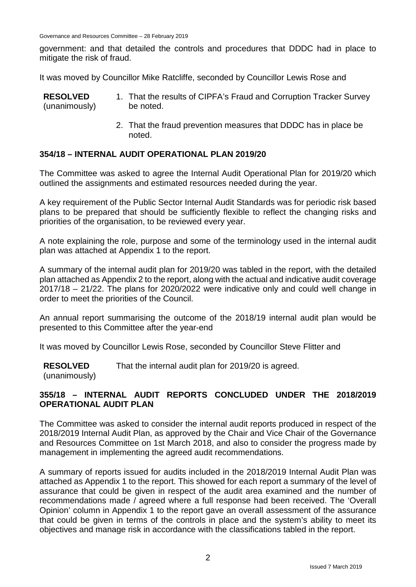Governance and Resources Committee – 28 February 2019

government: and that detailed the controls and procedures that DDDC had in place to mitigate the risk of fraud.

It was moved by Councillor Mike Ratcliffe, seconded by Councillor Lewis Rose and

| <b>RESOLVED</b> | 1. That the results of CIPFA's Fraud and Corruption Tracker Survey |
|-----------------|--------------------------------------------------------------------|
| (unanimously)   | be noted.                                                          |

2. That the fraud prevention measures that DDDC has in place be noted.

## **354/18 – INTERNAL AUDIT OPERATIONAL PLAN 2019/20**

The Committee was asked to agree the Internal Audit Operational Plan for 2019/20 which outlined the assignments and estimated resources needed during the year.

A key requirement of the Public Sector Internal Audit Standards was for periodic risk based plans to be prepared that should be sufficiently flexible to reflect the changing risks and priorities of the organisation, to be reviewed every year.

A note explaining the role, purpose and some of the terminology used in the internal audit plan was attached at Appendix 1 to the report.

A summary of the internal audit plan for 2019/20 was tabled in the report, with the detailed plan attached as Appendix 2 to the report, along with the actual and indicative audit coverage 2017/18 – 21/22. The plans for 2020/2022 were indicative only and could well change in order to meet the priorities of the Council.

An annual report summarising the outcome of the 2018/19 internal audit plan would be presented to this Committee after the year-end

It was moved by Councillor Lewis Rose, seconded by Councillor Steve Flitter and

**RESOLVED** That the internal audit plan for 2019/20 is agreed.

(unanimously)

## **355/18 – INTERNAL AUDIT REPORTS CONCLUDED UNDER THE 2018/2019 OPERATIONAL AUDIT PLAN**

The Committee was asked to consider the internal audit reports produced in respect of the 2018/2019 Internal Audit Plan, as approved by the Chair and Vice Chair of the Governance and Resources Committee on 1st March 2018, and also to consider the progress made by management in implementing the agreed audit recommendations.

A summary of reports issued for audits included in the 2018/2019 Internal Audit Plan was attached as Appendix 1 to the report. This showed for each report a summary of the level of assurance that could be given in respect of the audit area examined and the number of recommendations made / agreed where a full response had been received. The 'Overall Opinion' column in Appendix 1 to the report gave an overall assessment of the assurance that could be given in terms of the controls in place and the system's ability to meet its objectives and manage risk in accordance with the classifications tabled in the report.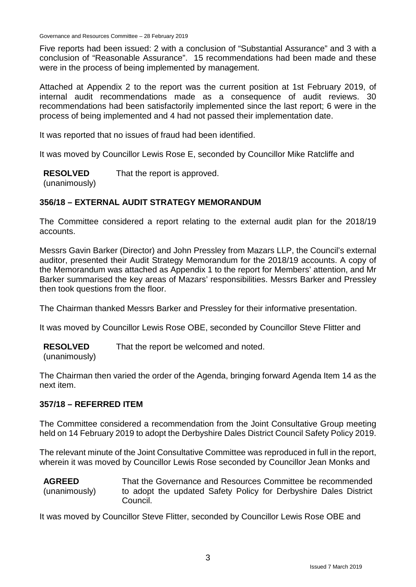Governance and Resources Committee – 28 February 2019

Five reports had been issued: 2 with a conclusion of "Substantial Assurance" and 3 with a conclusion of "Reasonable Assurance". 15 recommendations had been made and these were in the process of being implemented by management.

Attached at Appendix 2 to the report was the current position at 1st February 2019, of internal audit recommendations made as a consequence of audit reviews. 30 recommendations had been satisfactorily implemented since the last report; 6 were in the process of being implemented and 4 had not passed their implementation date.

It was reported that no issues of fraud had been identified.

It was moved by Councillor Lewis Rose E, seconded by Councillor Mike Ratcliffe and

**RESOLVED** (unanimously) That the report is approved.

### **356/18 – EXTERNAL AUDIT STRATEGY MEMORANDUM**

The Committee considered a report relating to the external audit plan for the 2018/19 accounts.

Messrs Gavin Barker (Director) and John Pressley from Mazars LLP, the Council's external auditor, presented their Audit Strategy Memorandum for the 2018/19 accounts. A copy of the Memorandum was attached as Appendix 1 to the report for Members' attention, and Mr Barker summarised the key areas of Mazars' responsibilities. Messrs Barker and Pressley then took questions from the floor.

The Chairman thanked Messrs Barker and Pressley for their informative presentation.

It was moved by Councillor Lewis Rose OBE, seconded by Councillor Steve Flitter and

**RESOLVED** (unanimously) That the report be welcomed and noted.

The Chairman then varied the order of the Agenda, bringing forward Agenda Item 14 as the next item.

### **357/18 – REFERRED ITEM**

The Committee considered a recommendation from the Joint Consultative Group meeting held on 14 February 2019 to adopt the Derbyshire Dales District Council Safety Policy 2019.

The relevant minute of the Joint Consultative Committee was reproduced in full in the report, wherein it was moved by Councillor Lewis Rose seconded by Councillor Jean Monks and

**AGREED**  (unanimously) That the Governance and Resources Committee be recommended to adopt the updated Safety Policy for Derbyshire Dales District Council.

It was moved by Councillor Steve Flitter, seconded by Councillor Lewis Rose OBE and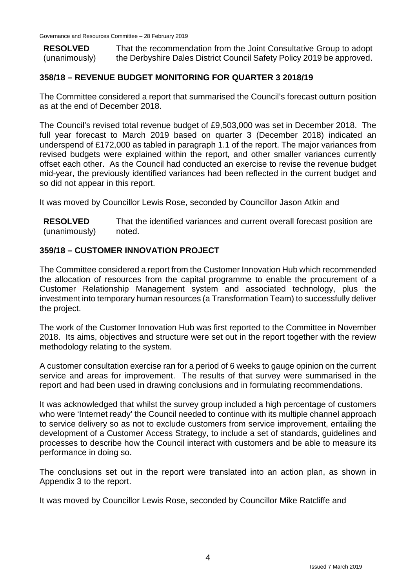**RESOLVED** (unanimously) That the recommendation from the Joint Consultative Group to adopt the Derbyshire Dales District Council Safety Policy 2019 be approved.

## **358/18 – REVENUE BUDGET MONITORING FOR QUARTER 3 2018/19**

The Committee considered a report that summarised the Council's forecast outturn position as at the end of December 2018.

The Council's revised total revenue budget of £9,503,000 was set in December 2018. The full year forecast to March 2019 based on quarter 3 (December 2018) indicated an underspend of £172,000 as tabled in paragraph 1.1 of the report. The major variances from revised budgets were explained within the report, and other smaller variances currently offset each other. As the Council had conducted an exercise to revise the revenue budget mid-year, the previously identified variances had been reflected in the current budget and so did not appear in this report.

It was moved by Councillor Lewis Rose, seconded by Councillor Jason Atkin and

**RESOLVED** (unanimously) That the identified variances and current overall forecast position are noted.

## **359/18 – CUSTOMER INNOVATION PROJECT**

The Committee considered a report from the Customer Innovation Hub which recommended the allocation of resources from the capital programme to enable the procurement of a Customer Relationship Management system and associated technology, plus the investment into temporary human resources (a Transformation Team) to successfully deliver the project.

The work of the Customer Innovation Hub was first reported to the Committee in November 2018. Its aims, objectives and structure were set out in the report together with the review methodology relating to the system.

A customer consultation exercise ran for a period of 6 weeks to gauge opinion on the current service and areas for improvement. The results of that survey were summarised in the report and had been used in drawing conclusions and in formulating recommendations.

It was acknowledged that whilst the survey group included a high percentage of customers who were 'Internet ready' the Council needed to continue with its multiple channel approach to service delivery so as not to exclude customers from service improvement, entailing the development of a Customer Access Strategy, to include a set of standards, guidelines and processes to describe how the Council interact with customers and be able to measure its performance in doing so.

The conclusions set out in the report were translated into an action plan, as shown in Appendix 3 to the report.

It was moved by Councillor Lewis Rose, seconded by Councillor Mike Ratcliffe and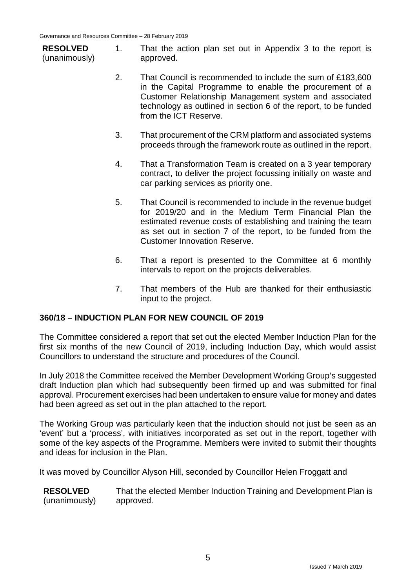**RESOLVED** (unanimously)

- 1. That the action plan set out in Appendix 3 to the report is approved.
- 2. That Council is recommended to include the sum of £183,600 in the Capital Programme to enable the procurement of a Customer Relationship Management system and associated technology as outlined in section 6 of the report, to be funded from the ICT Reserve.
- 3. That procurement of the CRM platform and associated systems proceeds through the framework route as outlined in the report.
- 4. That a Transformation Team is created on a 3 year temporary contract, to deliver the project focussing initially on waste and car parking services as priority one.
- 5. That Council is recommended to include in the revenue budget for 2019/20 and in the Medium Term Financial Plan the estimated revenue costs of establishing and training the team as set out in section 7 of the report, to be funded from the Customer Innovation Reserve.
- 6. That a report is presented to the Committee at 6 monthly intervals to report on the projects deliverables.
- 7. That members of the Hub are thanked for their enthusiastic input to the project.

# **360/18 – INDUCTION PLAN FOR NEW COUNCIL OF 2019**

The Committee considered a report that set out the elected Member Induction Plan for the first six months of the new Council of 2019, including Induction Day, which would assist Councillors to understand the structure and procedures of the Council.

In July 2018 the Committee received the Member Development Working Group's suggested draft Induction plan which had subsequently been firmed up and was submitted for final approval. Procurement exercises had been undertaken to ensure value for money and dates had been agreed as set out in the plan attached to the report.

The Working Group was particularly keen that the induction should not just be seen as an 'event' but a 'process', with initiatives incorporated as set out in the report, together with some of the key aspects of the Programme. Members were invited to submit their thoughts and ideas for inclusion in the Plan.

It was moved by Councillor Alyson Hill, seconded by Councillor Helen Froggatt and

**RESOLVED** (unanimously) That the elected Member Induction Training and Development Plan is approved.